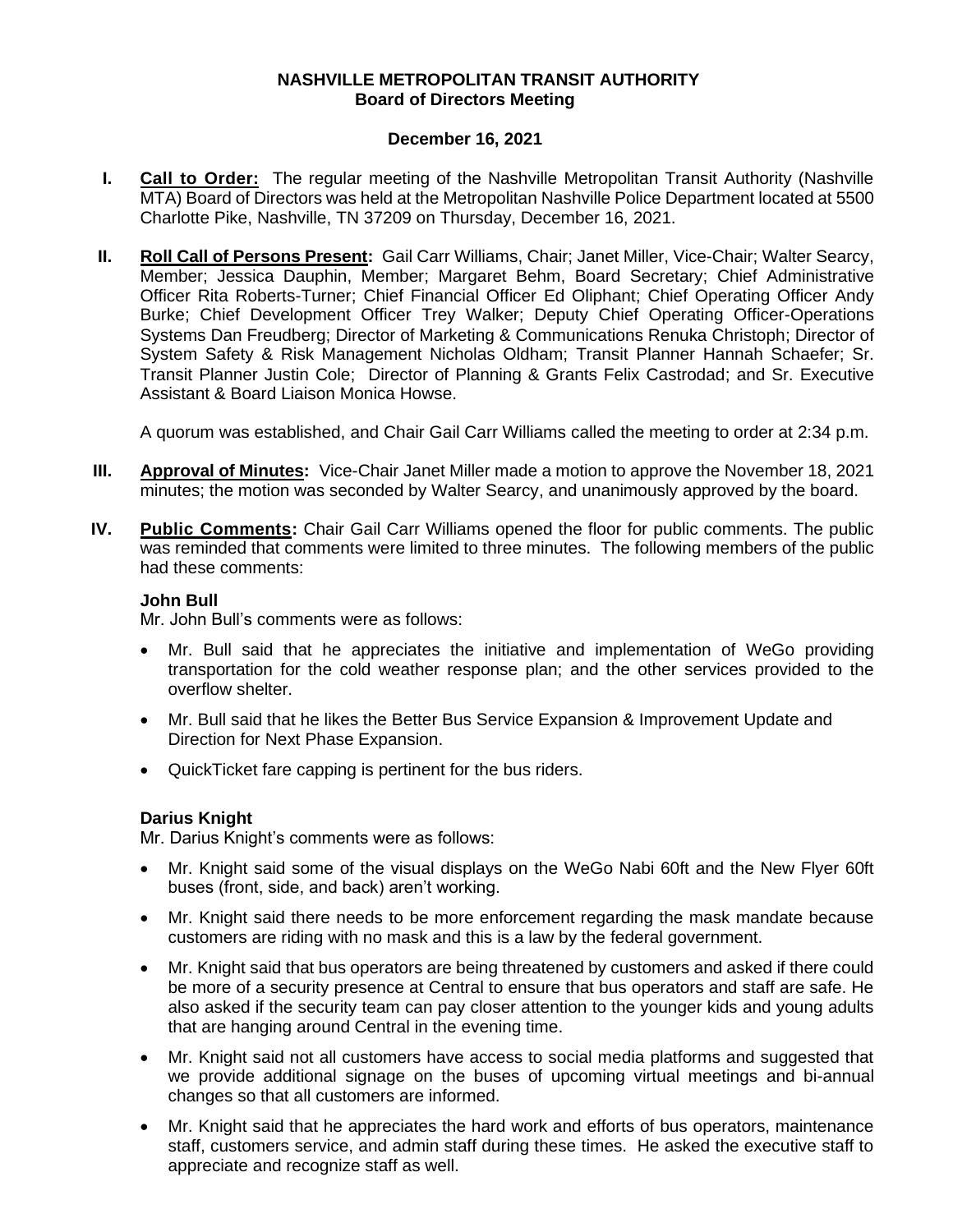## **NASHVILLE METROPOLITAN TRANSIT AUTHORITY Board of Directors Meeting**

## **December 16, 2021**

- **I. Call to Order:** The regular meeting of the Nashville Metropolitan Transit Authority (Nashville MTA) Board of Directors was held at the Metropolitan Nashville Police Department located at 5500 Charlotte Pike, Nashville, TN 37209 on Thursday, December 16, 2021.
- **II. Roll Call of Persons Present:** Gail Carr Williams, Chair; Janet Miller, Vice-Chair; Walter Searcy, Member; Jessica Dauphin, Member; Margaret Behm, Board Secretary; Chief Administrative Officer Rita Roberts-Turner; Chief Financial Officer Ed Oliphant; Chief Operating Officer Andy Burke; Chief Development Officer Trey Walker; Deputy Chief Operating Officer-Operations Systems Dan Freudberg; Director of Marketing & Communications Renuka Christoph; Director of System Safety & Risk Management Nicholas Oldham; Transit Planner Hannah Schaefer; Sr. Transit Planner Justin Cole; Director of Planning & Grants Felix Castrodad; and Sr. Executive Assistant & Board Liaison Monica Howse.

A quorum was established, and Chair Gail Carr Williams called the meeting to order at 2:34 p.m.

- **III. Approval of Minutes:** Vice-Chair Janet Miller made a motion to approve the November 18, 2021 minutes; the motion was seconded by Walter Searcy, and unanimously approved by the board.
- **IV. Public Comments:** Chair Gail Carr Williams opened the floor for public comments. The public was reminded that comments were limited to three minutes. The following members of the public had these comments:

## **John Bull**

Mr. John Bull's comments were as follows:

- Mr. Bull said that he appreciates the initiative and implementation of WeGo providing transportation for the cold weather response plan; and the other services provided to the overflow shelter.
- Mr. Bull said that he likes the Better Bus Service Expansion & Improvement Update and Direction for Next Phase Expansion.
- QuickTicket fare capping is pertinent for the bus riders.

# **Darius Knight**

Mr. Darius Knight's comments were as follows:

- Mr. Knight said some of the visual displays on the WeGo Nabi 60ft and the New Flyer 60ft buses (front, side, and back) aren't working.
- Mr. Knight said there needs to be more enforcement regarding the mask mandate because customers are riding with no mask and this is a law by the federal government.
- Mr. Knight said that bus operators are being threatened by customers and asked if there could be more of a security presence at Central to ensure that bus operators and staff are safe. He also asked if the security team can pay closer attention to the younger kids and young adults that are hanging around Central in the evening time.
- Mr. Knight said not all customers have access to social media platforms and suggested that we provide additional signage on the buses of upcoming virtual meetings and bi-annual changes so that all customers are informed.
- Mr. Knight said that he appreciates the hard work and efforts of bus operators, maintenance staff, customers service, and admin staff during these times. He asked the executive staff to appreciate and recognize staff as well.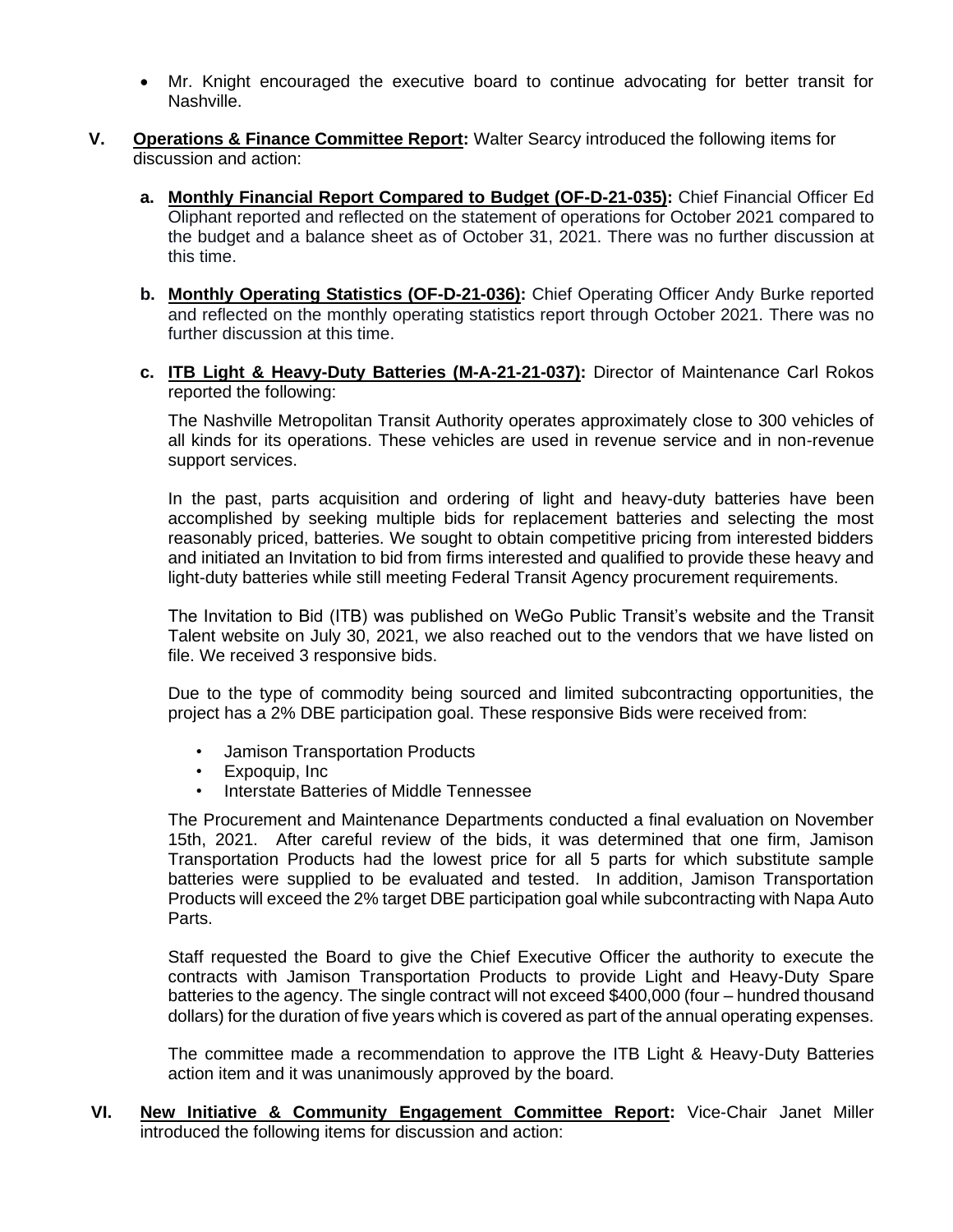- Mr. Knight encouraged the executive board to continue advocating for better transit for Nashville.
- **V. Operations & Finance Committee Report:** Walter Searcy introduced the following items for discussion and action:
	- **a. Monthly Financial Report Compared to Budget (OF-D-21-035):** Chief Financial Officer Ed Oliphant reported and reflected on the statement of operations for October 2021 compared to the budget and a balance sheet as of October 31, 2021. There was no further discussion at this time.
	- **b. Monthly Operating Statistics (OF-D-21-036):** Chief Operating Officer Andy Burke reported and reflected on the monthly operating statistics report through October 2021. There was no further discussion at this time.
	- **c. ITB Light & Heavy-Duty Batteries (M-A-21-21-037):** Director of Maintenance Carl Rokos reported the following:

The Nashville Metropolitan Transit Authority operates approximately close to 300 vehicles of all kinds for its operations. These vehicles are used in revenue service and in non-revenue support services.

In the past, parts acquisition and ordering of light and heavy-duty batteries have been accomplished by seeking multiple bids for replacement batteries and selecting the most reasonably priced, batteries. We sought to obtain competitive pricing from interested bidders and initiated an Invitation to bid from firms interested and qualified to provide these heavy and light-duty batteries while still meeting Federal Transit Agency procurement requirements.

The Invitation to Bid (ITB) was published on WeGo Public Transit's website and the Transit Talent website on July 30, 2021, we also reached out to the vendors that we have listed on file. We received 3 responsive bids.

Due to the type of commodity being sourced and limited subcontracting opportunities, the project has a 2% DBE participation goal. These responsive Bids were received from:

- Jamison Transportation Products
- Expoquip, Inc
- Interstate Batteries of Middle Tennessee

The Procurement and Maintenance Departments conducted a final evaluation on November 15th, 2021. After careful review of the bids, it was determined that one firm, Jamison Transportation Products had the lowest price for all 5 parts for which substitute sample batteries were supplied to be evaluated and tested. In addition, Jamison Transportation Products will exceed the 2% target DBE participation goal while subcontracting with Napa Auto Parts.

Staff requested the Board to give the Chief Executive Officer the authority to execute the contracts with Jamison Transportation Products to provide Light and Heavy-Duty Spare batteries to the agency. The single contract will not exceed \$400,000 (four – hundred thousand dollars) for the duration of five years which is covered as part of the annual operating expenses.

The committee made a recommendation to approve the ITB Light & Heavy-Duty Batteries action item and it was unanimously approved by the board.

**VI. New Initiative & Community Engagement Committee Report:** Vice-Chair Janet Miller introduced the following items for discussion and action: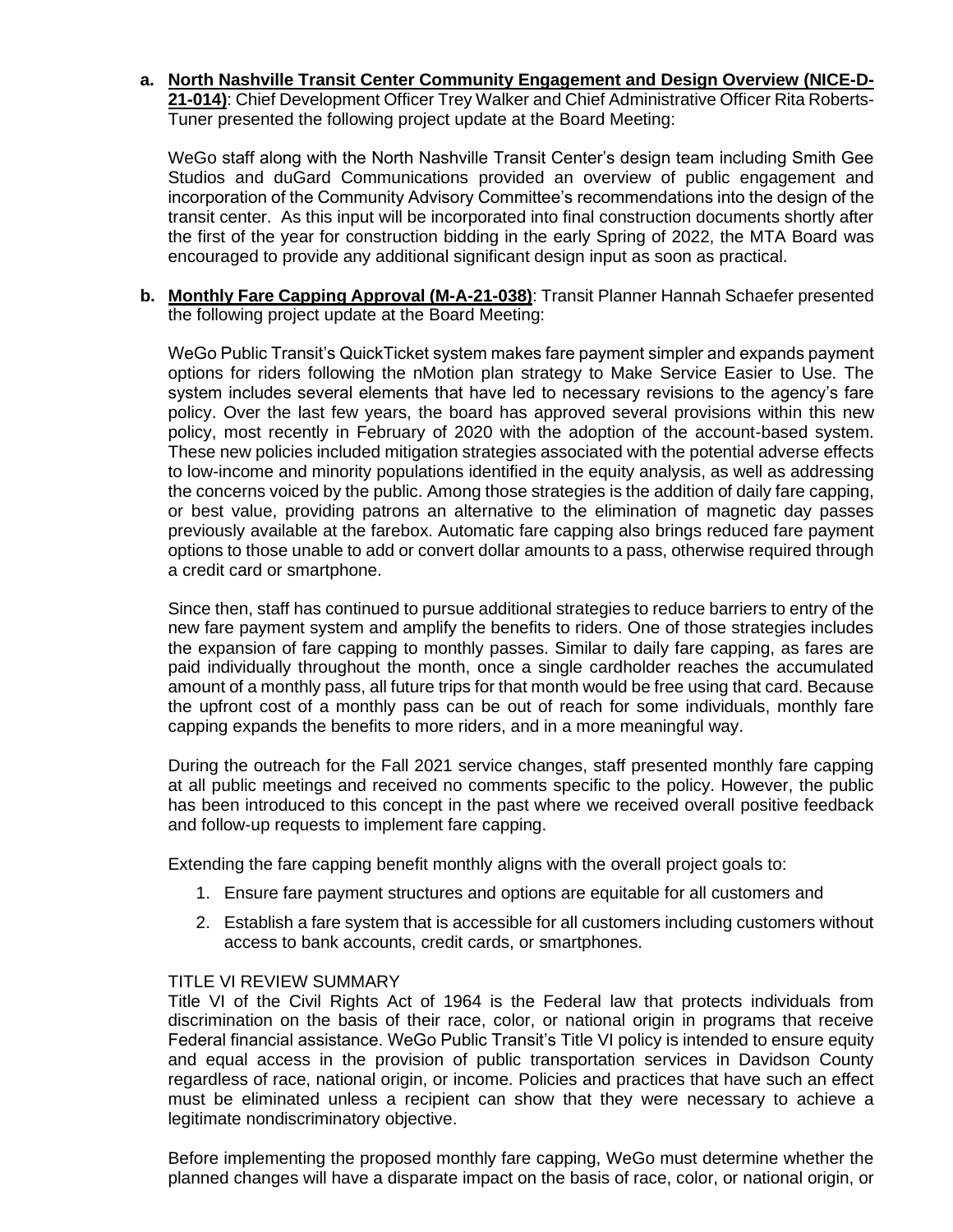**a. North Nashville Transit Center Community Engagement and Design Overview (NICE-D-21-014)**: Chief Development Officer Trey Walker and Chief Administrative Officer Rita Roberts-Tuner presented the following project update at the Board Meeting:

WeGo staff along with the North Nashville Transit Center's design team including Smith Gee Studios and duGard Communications provided an overview of public engagement and incorporation of the Community Advisory Committee's recommendations into the design of the transit center. As this input will be incorporated into final construction documents shortly after the first of the year for construction bidding in the early Spring of 2022, the MTA Board was encouraged to provide any additional significant design input as soon as practical.

**b. Monthly Fare Capping Approval (M-A-21-038)**: Transit Planner Hannah Schaefer presented the following project update at the Board Meeting:

WeGo Public Transit's QuickTicket system makes fare payment simpler and expands payment options for riders following the nMotion plan strategy to Make Service Easier to Use. The system includes several elements that have led to necessary revisions to the agency's fare policy. Over the last few years, the board has approved several provisions within this new policy, most recently in February of 2020 with the adoption of the account-based system. These new policies included mitigation strategies associated with the potential adverse effects to low-income and minority populations identified in the equity analysis, as well as addressing the concerns voiced by the public. Among those strategies is the addition of daily fare capping, or best value, providing patrons an alternative to the elimination of magnetic day passes previously available at the farebox. Automatic fare capping also brings reduced fare payment options to those unable to add or convert dollar amounts to a pass, otherwise required through a credit card or smartphone.

Since then, staff has continued to pursue additional strategies to reduce barriers to entry of the new fare payment system and amplify the benefits to riders. One of those strategies includes the expansion of fare capping to monthly passes. Similar to daily fare capping, as fares are paid individually throughout the month, once a single cardholder reaches the accumulated amount of a monthly pass, all future trips for that month would be free using that card. Because the upfront cost of a monthly pass can be out of reach for some individuals, monthly fare capping expands the benefits to more riders, and in a more meaningful way.

During the outreach for the Fall 2021 service changes, staff presented monthly fare capping at all public meetings and received no comments specific to the policy. However, the public has been introduced to this concept in the past where we received overall positive feedback and follow-up requests to implement fare capping.

Extending the fare capping benefit monthly aligns with the overall project goals to:

- 1. Ensure fare payment structures and options are equitable for all customers and
- 2. Establish a fare system that is accessible for all customers including customers without access to bank accounts, credit cards, or smartphones.

### TITLE VI REVIEW SUMMARY

Title VI of the Civil Rights Act of 1964 is the Federal law that protects individuals from discrimination on the basis of their race, color, or national origin in programs that receive Federal financial assistance. WeGo Public Transit's Title VI policy is intended to ensure equity and equal access in the provision of public transportation services in Davidson County regardless of race, national origin, or income. Policies and practices that have such an effect must be eliminated unless a recipient can show that they were necessary to achieve a legitimate nondiscriminatory objective.

Before implementing the proposed monthly fare capping, WeGo must determine whether the planned changes will have a disparate impact on the basis of race, color, or national origin, or